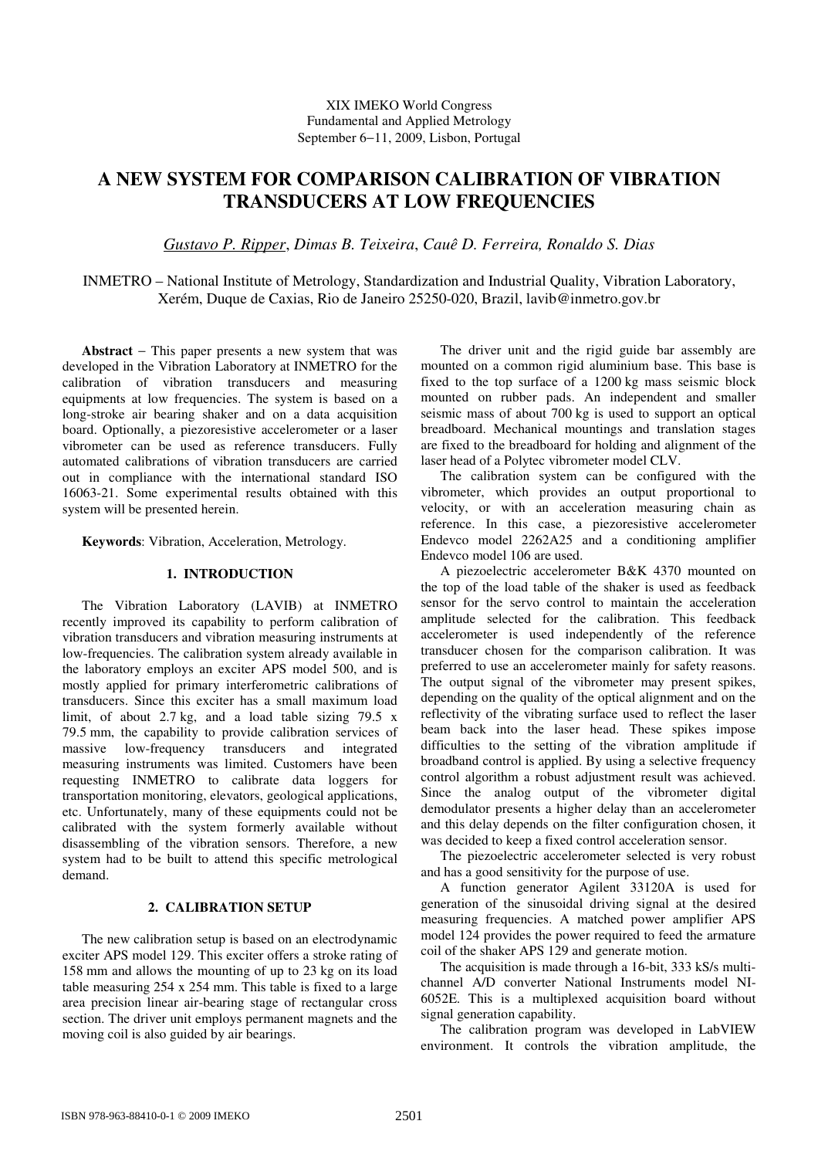# XIX IMEKO World Congress Fundamental and Applied Metrology September 6−11, 2009, Lisbon, Portugal

# **A NEW SYSTEM FOR COMPARISON CALIBRATION OF VIBRATION TRANSDUCERS AT LOW FREQUENCIES**

*Gustavo P. Ripper*, *Dimas B. Teixeira*, *Cauê D. Ferreira, Ronaldo S. Dias* 

INMETRO – National Institute of Metrology, Standardization and Industrial Quality, Vibration Laboratory, Xerém, Duque de Caxias, Rio de Janeiro 25250-020, Brazil, lavib@inmetro.gov.br

**Abstract** − This paper presents a new system that was developed in the Vibration Laboratory at INMETRO for the calibration of vibration transducers and measuring equipments at low frequencies. The system is based on a long-stroke air bearing shaker and on a data acquisition board. Optionally, a piezoresistive accelerometer or a laser vibrometer can be used as reference transducers. Fully automated calibrations of vibration transducers are carried out in compliance with the international standard ISO 16063-21. Some experimental results obtained with this system will be presented herein.

**Keywords**: Vibration, Acceleration, Metrology.

## **1. INTRODUCTION**

The Vibration Laboratory (LAVIB) at INMETRO recently improved its capability to perform calibration of vibration transducers and vibration measuring instruments at low-frequencies. The calibration system already available in the laboratory employs an exciter APS model 500, and is mostly applied for primary interferometric calibrations of transducers. Since this exciter has a small maximum load limit, of about 2.7 kg, and a load table sizing 79.5 x 79.5 mm, the capability to provide calibration services of massive low-frequency transducers and integrated measuring instruments was limited. Customers have been requesting INMETRO to calibrate data loggers for transportation monitoring, elevators, geological applications, etc. Unfortunately, many of these equipments could not be calibrated with the system formerly available without disassembling of the vibration sensors. Therefore, a new system had to be built to attend this specific metrological demand.

## **2. CALIBRATION SETUP**

The new calibration setup is based on an electrodynamic exciter APS model 129. This exciter offers a stroke rating of 158 mm and allows the mounting of up to 23 kg on its load table measuring 254 x 254 mm. This table is fixed to a large area precision linear air-bearing stage of rectangular cross section. The driver unit employs permanent magnets and the moving coil is also guided by air bearings.

The driver unit and the rigid guide bar assembly are mounted on a common rigid aluminium base. This base is fixed to the top surface of a 1200 kg mass seismic block mounted on rubber pads. An independent and smaller seismic mass of about 700 kg is used to support an optical breadboard. Mechanical mountings and translation stages are fixed to the breadboard for holding and alignment of the laser head of a Polytec vibrometer model CLV.

The calibration system can be configured with the vibrometer, which provides an output proportional to velocity, or with an acceleration measuring chain as reference. In this case, a piezoresistive accelerometer Endevco model 2262A25 and a conditioning amplifier Endevco model 106 are used.

A piezoelectric accelerometer B&K 4370 mounted on the top of the load table of the shaker is used as feedback sensor for the servo control to maintain the acceleration amplitude selected for the calibration. This feedback accelerometer is used independently of the reference transducer chosen for the comparison calibration. It was preferred to use an accelerometer mainly for safety reasons. The output signal of the vibrometer may present spikes, depending on the quality of the optical alignment and on the reflectivity of the vibrating surface used to reflect the laser beam back into the laser head. These spikes impose difficulties to the setting of the vibration amplitude if broadband control is applied. By using a selective frequency control algorithm a robust adjustment result was achieved. Since the analog output of the vibrometer digital demodulator presents a higher delay than an accelerometer and this delay depends on the filter configuration chosen, it was decided to keep a fixed control acceleration sensor.

The piezoelectric accelerometer selected is very robust and has a good sensitivity for the purpose of use.

A function generator Agilent 33120A is used for generation of the sinusoidal driving signal at the desired measuring frequencies. A matched power amplifier APS model 124 provides the power required to feed the armature coil of the shaker APS 129 and generate motion.

The acquisition is made through a 16-bit, 333 kS/s multichannel A/D converter National Instruments model NI-6052E. This is a multiplexed acquisition board without signal generation capability.

The calibration program was developed in LabVIEW environment. It controls the vibration amplitude, the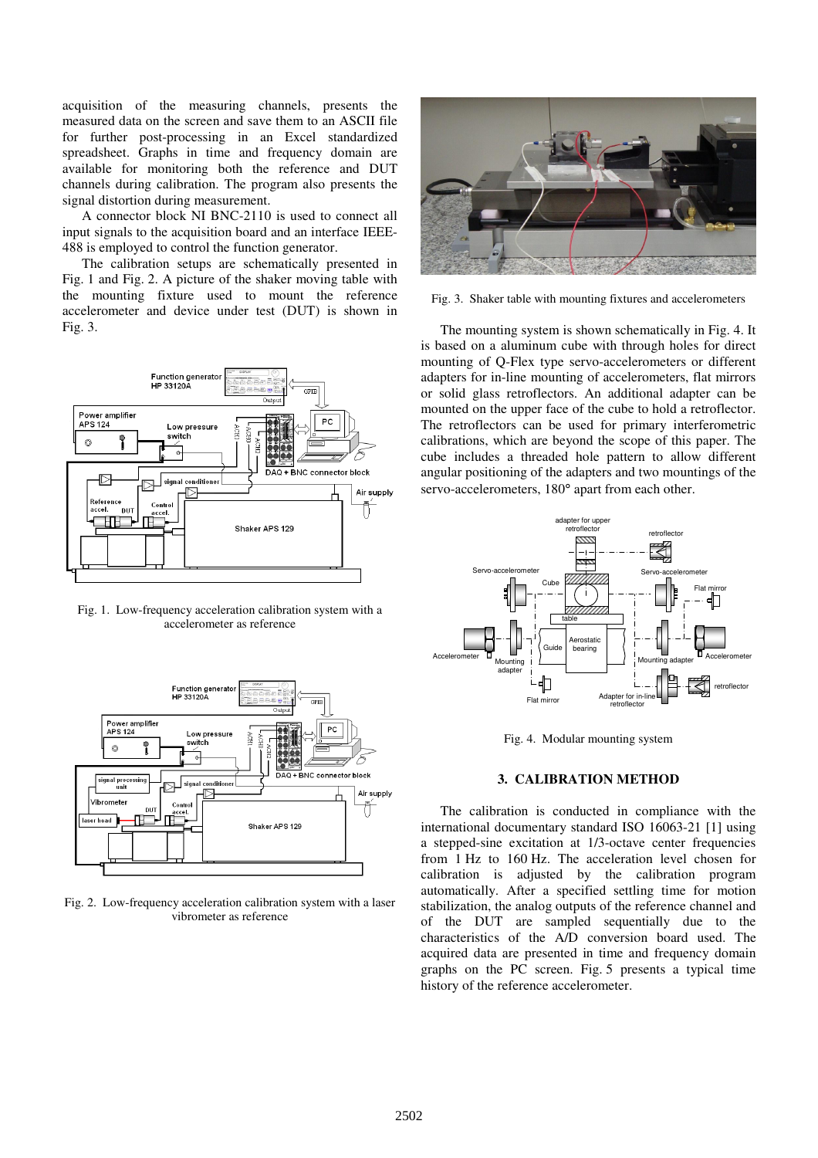acquisition of the measuring channels, presents the measured data on the screen and save them to an ASCII file for further post-processing in an Excel standardized spreadsheet. Graphs in time and frequency domain are available for monitoring both the reference and DUT channels during calibration. The program also presents the signal distortion during measurement.

A connector block NI BNC-2110 is used to connect all input signals to the acquisition board and an interface IEEE-488 is employed to control the function generator.

The calibration setups are schematically presented in Fig. 1 and Fig. 2. A picture of the shaker moving table with the mounting fixture used to mount the reference accelerometer and device under test (DUT) is shown in Fig. 3.



Fig. 1. Low-frequency acceleration calibration system with a accelerometer as reference



Fig. 2. Low-frequency acceleration calibration system with a laser vibrometer as reference



Fig. 3. Shaker table with mounting fixtures and accelerometers

The mounting system is shown schematically in Fig. 4. It is based on a aluminum cube with through holes for direct mounting of Q-Flex type servo-accelerometers or different adapters for in-line mounting of accelerometers, flat mirrors or solid glass retroflectors. An additional adapter can be mounted on the upper face of the cube to hold a retroflector. The retroflectors can be used for primary interferometric calibrations, which are beyond the scope of this paper. The cube includes a threaded hole pattern to allow different angular positioning of the adapters and two mountings of the servo-accelerometers, 180° apart from each other.



Fig. 4. Modular mounting system

#### **3. CALIBRATION METHOD**

The calibration is conducted in compliance with the international documentary standard ISO 16063-21 [1] using a stepped-sine excitation at 1/3-octave center frequencies from 1 Hz to 160 Hz. The acceleration level chosen for calibration is adjusted by the calibration program automatically. After a specified settling time for motion stabilization, the analog outputs of the reference channel and of the DUT are sampled sequentially due to the characteristics of the A/D conversion board used. The acquired data are presented in time and frequency domain graphs on the PC screen. Fig. 5 presents a typical time history of the reference accelerometer.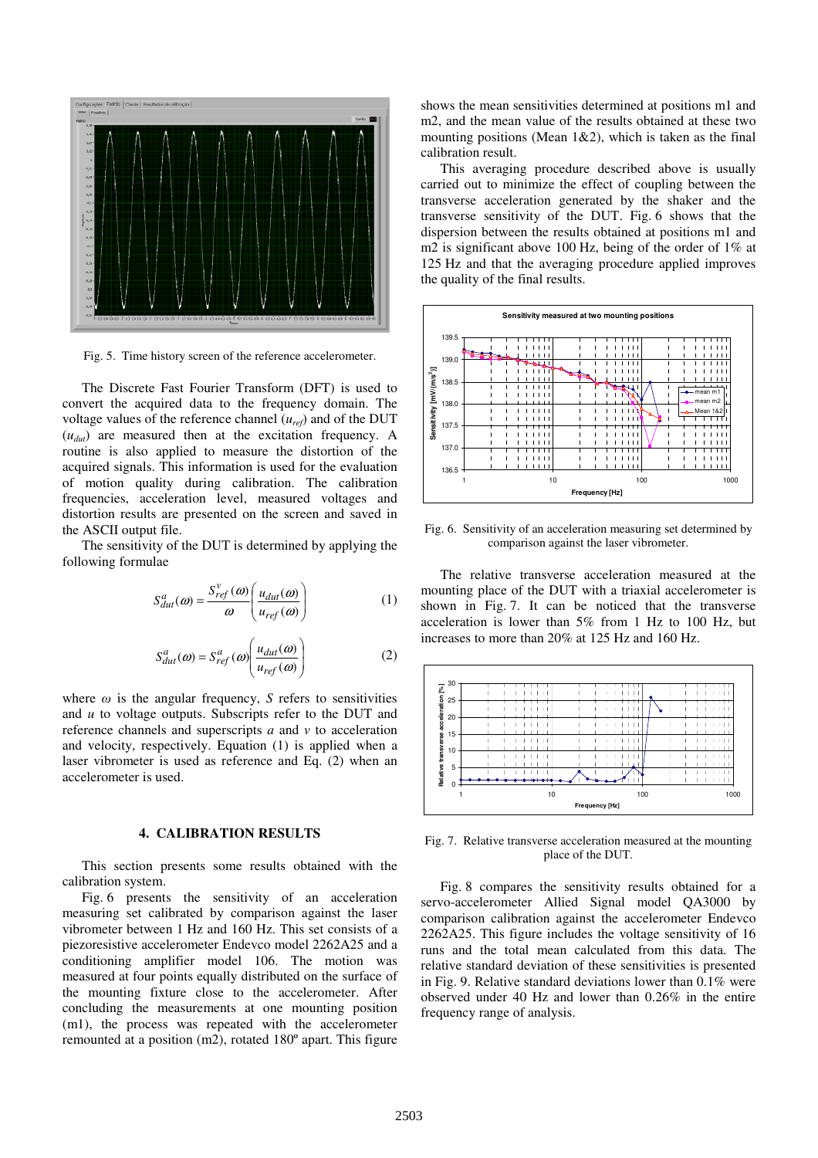

Fig. 5. Time history screen of the reference accelerometer.

The Discrete Fast Fourier Transform (DFT) is used to convert the acquired data to the frequency domain. The voltage values of the reference channel (*uref*) and of the DUT (*udut*) are measured then at the excitation frequency. A routine is also applied to measure the distortion of the acquired signals. This information is used for the evaluation of motion quality during calibration. The calibration frequencies, acceleration level, measured voltages and distortion results are presented on the screen and saved in the ASCII output file.

The sensitivity of the DUT is determined by applying the following formulae

$$
S_{dut}^{a}(\omega) = \frac{S_{ref}^{v}(\omega)}{\omega} \left( \frac{u_{dut}(\omega)}{u_{ref}(\omega)} \right)
$$
 (1)

$$
S_{dut}^{a}(\omega) = S_{ref}^{a}(\omega) \left( \frac{u_{dut}(\omega)}{u_{ref}(\omega)} \right)
$$
 (2)

where  $\omega$  is the angular frequency, *S* refers to sensitivities and *u* to voltage outputs. Subscripts refer to the DUT and reference channels and superscripts *a* and *v* to acceleration and velocity, respectively. Equation (1) is applied when a laser vibrometer is used as reference and Eq. (2) when an accelerometer is used.

# **4. CALIBRATION RESULTS**

This section presents some results obtained with the calibration system.

Fig. 6 presents the sensitivity of an acceleration measuring set calibrated by comparison against the laser vibrometer between 1 Hz and 160 Hz. This set consists of a piezoresistive accelerometer Endevco model 2262A25 and a conditioning amplifier model 106. The motion was measured at four points equally distributed on the surface of the mounting fixture close to the accelerometer. After concluding the measurements at one mounting position (m1), the process was repeated with the accelerometer remounted at a position (m2), rotated 180º apart. This figure

shows the mean sensitivities determined at positions m1 and m2, and the mean value of the results obtained at these two mounting positions (Mean  $1\&2$ ), which is taken as the final calibration result.

This averaging procedure described above is usually carried out to minimize the effect of coupling between the transverse acceleration generated by the shaker and the transverse sensitivity of the DUT. Fig. 6 shows that the dispersion between the results obtained at positions m1 and m2 is significant above 100 Hz, being of the order of 1% at 125 Hz and that the averaging procedure applied improves the quality of the final results.



Fig. 6. Sensitivity of an acceleration measuring set determined by comparison against the laser vibrometer.

The relative transverse acceleration measured at the mounting place of the DUT with a triaxial accelerometer is shown in Fig. 7. It can be noticed that the transverse acceleration is lower than 5% from 1 Hz to 100 Hz, but increases to more than 20% at 125 Hz and 160 Hz.



Fig. 7. Relative transverse acceleration measured at the mounting place of the DUT.

Fig. 8 compares the sensitivity results obtained for a servo-accelerometer Allied Signal model QA3000 by comparison calibration against the accelerometer Endevco 2262A25. This figure includes the voltage sensitivity of 16 runs and the total mean calculated from this data. The relative standard deviation of these sensitivities is presented in Fig. 9. Relative standard deviations lower than 0.1% were observed under 40 Hz and lower than 0.26% in the entire frequency range of analysis.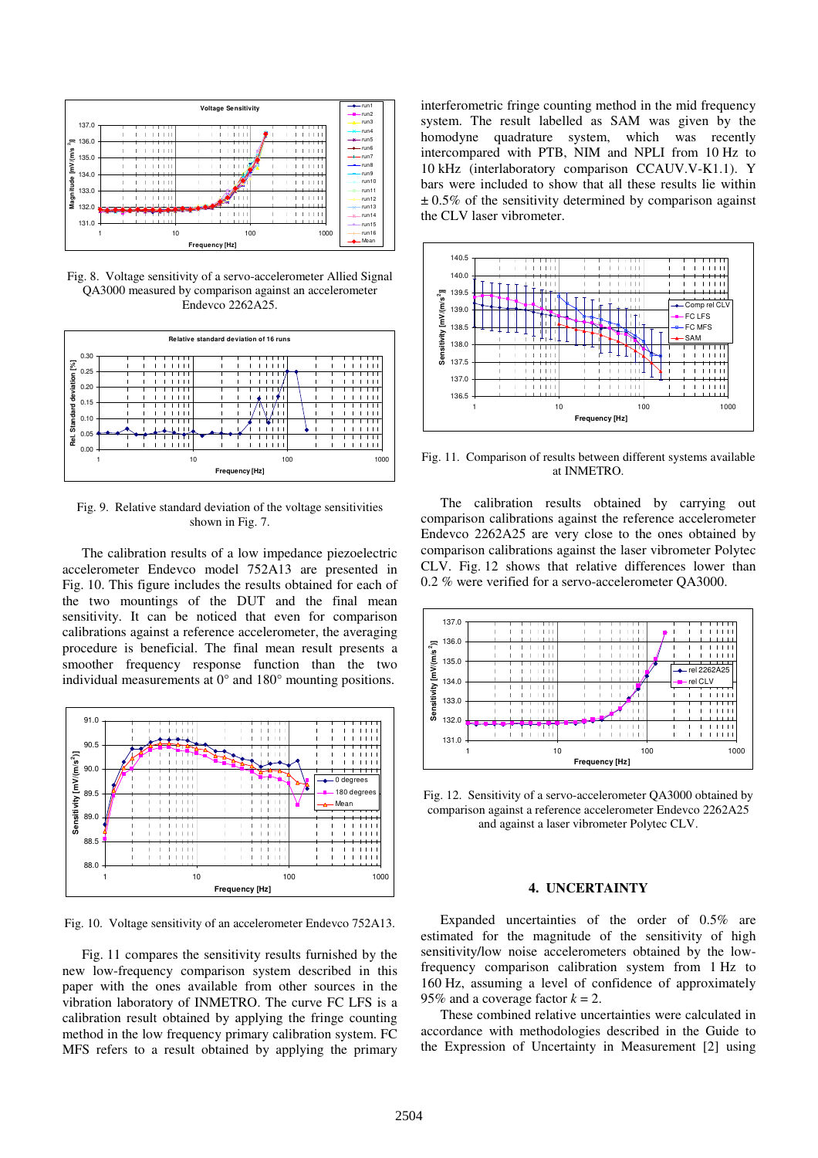

Fig. 8. Voltage sensitivity of a servo-accelerometer Allied Signal QA3000 measured by comparison against an accelerometer Endevco 2262A25.



Fig. 9. Relative standard deviation of the voltage sensitivities shown in Fig. 7.

The calibration results of a low impedance piezoelectric accelerometer Endevco model 752A13 are presented in Fig. 10. This figure includes the results obtained for each of the two mountings of the DUT and the final mean sensitivity. It can be noticed that even for comparison calibrations against a reference accelerometer, the averaging procedure is beneficial. The final mean result presents a smoother frequency response function than the two individual measurements at 0° and 180° mounting positions.



Fig. 10. Voltage sensitivity of an accelerometer Endevco 752A13.

Fig. 11 compares the sensitivity results furnished by the new low-frequency comparison system described in this paper with the ones available from other sources in the vibration laboratory of INMETRO. The curve FC LFS is a calibration result obtained by applying the fringe counting method in the low frequency primary calibration system. FC MFS refers to a result obtained by applying the primary interferometric fringe counting method in the mid frequency system. The result labelled as SAM was given by the homodyne quadrature system, which was recently intercompared with PTB, NIM and NPLI from 10 Hz to 10 kHz (interlaboratory comparison CCAUV.V-K1.1). Y bars were included to show that all these results lie within  $\pm 0.5\%$  of the sensitivity determined by comparison against the CLV laser vibrometer.



Fig. 11. Comparison of results between different systems available at INMETRO.

The calibration results obtained by carrying out comparison calibrations against the reference accelerometer Endevco 2262A25 are very close to the ones obtained by comparison calibrations against the laser vibrometer Polytec CLV. Fig. 12 shows that relative differences lower than 0.2 % were verified for a servo-accelerometer QA3000.



Fig. 12. Sensitivity of a servo-accelerometer QA3000 obtained by comparison against a reference accelerometer Endevco 2262A25 and against a laser vibrometer Polytec CLV.

## **4. UNCERTAINTY**

Expanded uncertainties of the order of 0.5% are estimated for the magnitude of the sensitivity of high sensitivity/low noise accelerometers obtained by the lowfrequency comparison calibration system from 1 Hz to 160 Hz, assuming a level of confidence of approximately 95% and a coverage factor  $k = 2$ .

These combined relative uncertainties were calculated in accordance with methodologies described in the Guide to the Expression of Uncertainty in Measurement [2] using